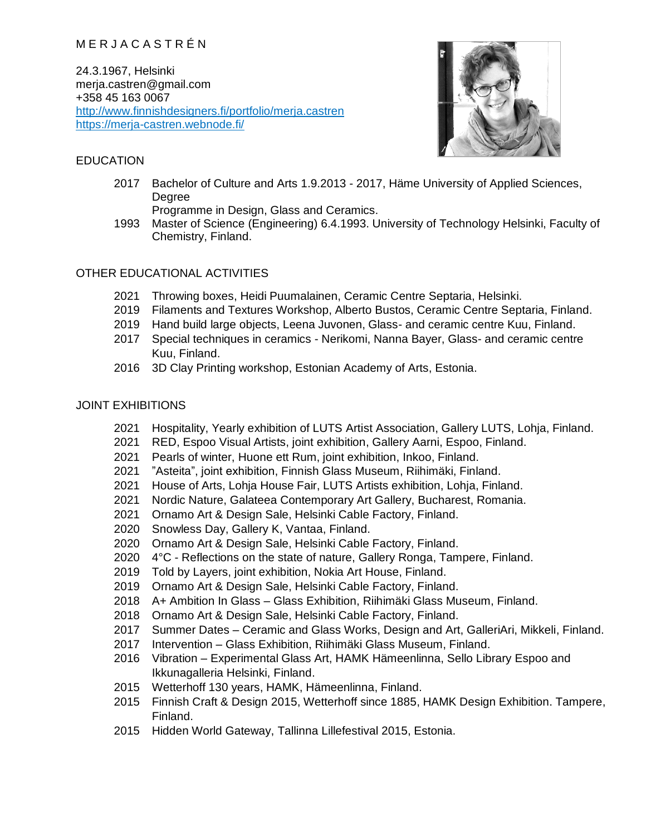# M E R J A C A S T R É N

24.3.1967, Helsinki merja.castren@gmail.com +358 45 163 0067 <http://www.finnishdesigners.fi/portfolio/merja.castren> <https://merja-castren.webnode.fi/>

### EDUCATION

- 
- 2017 Bachelor of Culture and Arts 1.9.2013 2017, Häme University of Applied Sciences, Degree
	- Programme in Design, Glass and Ceramics.
- 1993 Master of Science (Engineering) 6.4.1993. University of Technology Helsinki, Faculty of Chemistry, Finland.

## OTHER EDUCATIONAL ACTIVITIES

- 2021 Throwing boxes, Heidi Puumalainen, Ceramic Centre Septaria, Helsinki.
- 2019 Filaments and Textures Workshop, Alberto Bustos, Ceramic Centre Septaria, Finland.
- 2019 Hand build large objects, Leena Juvonen, Glass- and ceramic centre Kuu, Finland.
- 2017 Special techniques in ceramics Nerikomi, Nanna Bayer, Glass- and ceramic centre Kuu, Finland.
- 2016 3D Clay Printing workshop, Estonian Academy of Arts, Estonia.

### JOINT EXHIBITIONS

- 2021 Hospitality, Yearly exhibition of LUTS Artist Association, Gallery LUTS, Lohja, Finland.
- 2021 RED, Espoo Visual Artists, joint exhibition, Gallery Aarni, Espoo, Finland.
- 2021 Pearls of winter, Huone ett Rum, joint exhibition, Inkoo, Finland.
- 2021 "Asteita", joint exhibition, Finnish Glass Museum, Riihimäki, Finland.
- 2021 House of Arts, Lohja House Fair, LUTS Artists exhibition, Lohja, Finland.
- 2021 Nordic Nature, Galateea Contemporary Art Gallery, Bucharest, Romania.
- 2021 Ornamo Art & Design Sale, Helsinki Cable Factory, Finland.
- 2020 Snowless Day, Gallery K, Vantaa, Finland.
- 2020 Ornamo Art & Design Sale, Helsinki Cable Factory, Finland.
- 2020 4°C Reflections on the state of nature, Gallery Ronga, Tampere, Finland.
- 2019 Told by Layers, joint exhibition, Nokia Art House, Finland.
- 2019 Ornamo Art & Design Sale, Helsinki Cable Factory, Finland.
- 2018 A+ Ambition In Glass Glass Exhibition, Riihimäki Glass Museum, Finland.
- 2018 Ornamo Art & Design Sale, Helsinki Cable Factory, Finland.
- 2017 Summer Dates Ceramic and Glass Works, Design and Art, GalleriAri, Mikkeli, Finland.
- 2017 Intervention Glass Exhibition, Riihimäki Glass Museum, Finland.
- 2016 Vibration Experimental Glass Art, HAMK Hämeenlinna, Sello Library Espoo and Ikkunagalleria Helsinki, Finland.
- 2015 Wetterhoff 130 years, HAMK, Hämeenlinna, Finland.
- 2015 Finnish Craft & Design 2015, Wetterhoff since 1885, HAMK Design Exhibition. Tampere, Finland.
- 2015 Hidden World Gateway, Tallinna Lillefestival 2015, Estonia.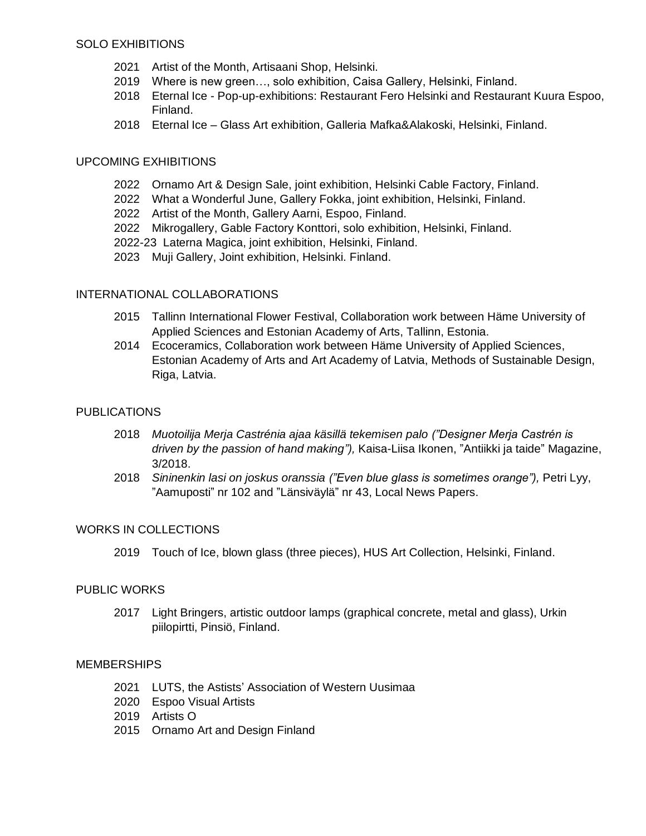- 2021 Artist of the Month, Artisaani Shop, Helsinki.
- 2019 Where is new green…, solo exhibition, Caisa Gallery, Helsinki, Finland.
- 2018 Eternal Ice Pop-up-exhibitions: Restaurant Fero Helsinki and Restaurant Kuura Espoo, Finland.
- 2018 Eternal Ice Glass Art exhibition, Galleria Mafka&Alakoski, Helsinki, Finland.

## UPCOMING EXHIBITIONS

- 2022 Ornamo Art & Design Sale, joint exhibition, Helsinki Cable Factory, Finland.
- 2022 What a Wonderful June, Gallery Fokka, joint exhibition, Helsinki, Finland.
- 2022 Artist of the Month, Gallery Aarni, Espoo, Finland.
- 2022 Mikrogallery, Gable Factory Konttori, solo exhibition, Helsinki, Finland.
- 2022-23 Laterna Magica, joint exhibition, Helsinki, Finland.
- 2023 Muji Gallery, Joint exhibition, Helsinki. Finland.

## INTERNATIONAL COLLABORATIONS

- 2015 Tallinn International Flower Festival, Collaboration work between Häme University of Applied Sciences and Estonian Academy of Arts, Tallinn, Estonia.
- 2014 Ecoceramics, Collaboration work between Häme University of Applied Sciences, Estonian Academy of Arts and Art Academy of Latvia, Methods of Sustainable Design, Riga, Latvia.

### PUBLICATIONS

- 2018 *Muotoilija Merja Castrénia ajaa käsillä tekemisen palo ("Designer Merja Castrén is driven by the passion of hand making"),* Kaisa-Liisa Ikonen, "Antiikki ja taide" Magazine, 3/2018.
- 2018 *Sininenkin lasi on joskus oranssia ("Even blue glass is sometimes orange"),* Petri Lyy, "Aamuposti" nr 102 and "Länsiväylä" nr 43, Local News Papers.

### WORKS IN COLLECTIONS

2019 Touch of Ice, blown glass (three pieces), HUS Art Collection, Helsinki, Finland.

### PUBLIC WORKS

2017 Light Bringers, artistic outdoor lamps (graphical concrete, metal and glass), Urkin piilopirtti, Pinsiö, Finland.

### **MEMBERSHIPS**

- 2021 LUTS, the Astists' Association of Western Uusimaa
- 2020 Espoo Visual Artists
- 2019 Artists O
- 2015 Ornamo Art and Design Finland